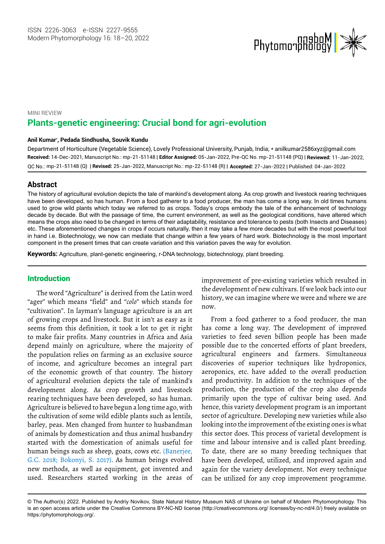

# **Plants-genetic engineering: Crucial bond for agri-evolution** MINI REVIEW

#### **Anil Kumar\* , Pedada Sindhusha, Souvik Kundu**

Department of Horticulture (Vegetable Science), Lovely Professional University, Punjab, India; \* [anilkumar2586xyz@gmail.co](mailto:anilkumar2586xyz@gmail.com)m **Received:** 14-Dec-2021, Manuscript No.: mp-21-51148 | **Editor Assigned:** 05-Jan-2022, Pre-QC No. mp-21-51148 (PQ) | **Reviewed:** 11-Jan-2022, mp-21-51148 (Q) | **Revised:** 25-Jan-2022, Manuscript No.: mp-22-51148 (R) | **Accepted:** 27-Jan-2022 | Published: 04-Jan-2022 QC No.:

#### **Abstract**

The history of agricultural evolution depicts the tale of mankind's development along. As crop growth and livestock rearing techniques have been developed, so has human. From a food gatherer to a food producer, the man has come a long way. In old times humans used to grow wild plants which today we referred to as crops. Today's crops embody the tale of the enhancement of technology decade by decade. But with the passage of time, the current environment, as well as the geological conditions, have altered which means the crops also need to be changed in terms of their adaptability, resistance and tolerance to pests (both Insects and Diseases) etc. These aforementioned changes in crops if occurs naturally, then it may take a few more decades but with the most powerful tool in hand i.e. Biotechnology, we now can mediate that change within a few years of hard work. Biotechnology is the most important component in the present times that can create variation and this variation paves the way for evolution.

**Keywords:** Agriculture, plant-genetic engineering, r-DNA technology, biotechnology, plant breeding.

### Introduction

The word "Agriculture" is derived from the Latin word "ager" which means "field" and "*colo*" which stands for "cultivation". In layman's language agriculture is an art of growing crops and livestock. But it isn't as easy as it seems from this definition, it took a lot to get it right to make fair profits. Many countries in Africa and Asia depend mainly on agriculture, where the majority of the population relies on farming as an exclusive source of income, and agriculture becomes an integral part of the economic growth of that country. The history of agricultural evolution depicts the tale of mankind's development along. As crop growth and livestock rearing techniques have been developed, so has human. Agriculture is believed to have begun a long time ago, with the cultivation of some wild edible plants such as lentils, barley, peas. Men changed from hunter to husbandman of animals by domestication and thus animal husbandry started with the domestication of animals useful for human beings such as sheep, goats, cows etc. (Banerjee, G.C. 2018; Bokonyi, S. 2017). As human beings evolved new methods, as well as equipment, got invented and used. Researchers started working in the areas of improvement of pre-existing varieties which resulted in the development of new cultivars. If we look back into our history, we can imagine where we were and where we are now.

From a food gatherer to a food producer, the man has come a long way. The development of improved varieties to feed seven billion people has been made possible due to the concerted efforts of plant breeders, agricultural engineers and farmers. Simultaneous discoveries of superior techniques like hydroponics, aeroponics, etc. have added to the overall production and productivity. In addition to the techniques of the production, the production of the crop also depends primarily upon the type of cultivar being used. And hence, this variety development program is an important sector of agriculture. Developing new varieties while also looking into the improvement of the existing ones is what this sector does. This process of varietal development is time and labour intensive and is called plant breeding. To date, there are so many breeding techniques that have been developed, utilized, and improved again and again for the variety development. Not every technique can be utilized for any crop improvement programme.

<sup>©</sup> The Author(s) 2022. Published by Andriy Novikov, State Natural History Museum NAS of Ukraine on behalf of Modern Phytomorphology. This is an open access article under the Creative Commons BY-NC-ND license (http://creativecommons.org/ licenses/by-nc-nd/4.0/) freely available on https://phytomorphology.org/.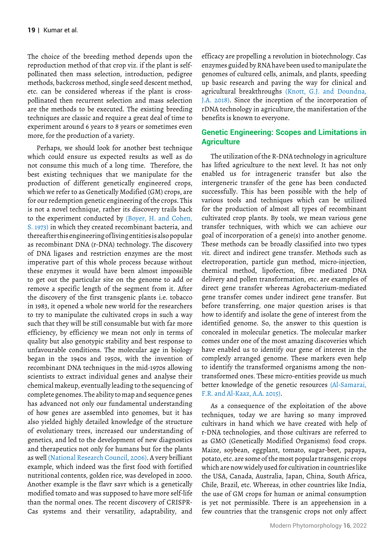The choice of the breeding method depends upon the reproduction method of that crop viz. if the plant is selfpollinated then mass selection, introduction, pedigree methods, backcross method, single seed descent method, etc. can be considered whereas if the plant is crosspollinated then recurrent selection and mass selection are the methods to be executed. The existing breeding techniques are classic and require a great deal of time to experiment around 6 years to 8 years or sometimes even more, for the production of a variety.

Perhaps, we should look for another best technique which could ensure us expected results as well as do not consume this much of a long time. Therefore, the best existing techniques that we manipulate for the production of different genetically engineered crops, which we refer to as Genetically Modified (GM) crops, are for our redemption genetic engineering of the crops. This is not a novel technique, rather its discovery trails back to the experiment conducted by (Boyer, H. and Cohen, S. 1973) in which they created recombinant bacteria, and thereafter this engineering of living entities is also popular as recombinant DNA (r-DNA) technology. The discovery of DNA ligases and restriction enzymes are the most imperative part of this whole process because without these enzymes it would have been almost impossible to get out the particular site on the genome to add or remove a specific length of the segment from it. After the discovery of the first transgenic plants i.e. tobacco in 1983, it opened a whole new world for the researchers to try to manipulate the cultivated crops in such a way such that they will be still consumable but with far more efficiency, by efficiency we mean not only in terms of quality but also genotypic stability and best response to unfavourable conditions. The molecular age in biology began in the 1940s and 1950s, with the invention of recombinant DNA techniques in the mid-1970s allowing scientists to extract individual genes and analyse their chemical makeup, eventually leading to the sequencing of complete genomes. The ability to map and sequence genes has advanced not only our fundamental understanding of how genes are assembled into genomes, but it has also yielded highly detailed knowledge of the structure of evolutionary trees, increased our understanding of genetics, and led to the development of new diagnostics and therapeutics not only for humans but for the plants as well (National Research Council, 2006). A very brilliant example, which indeed was the first food with fortified nutritional contents, golden rice, was developed in 2000. Another example is the flavr savr which is a genetically modified tomato and was supposed to have more self-life than the normal ones. The recent discovery of CRISPR-Cas systems and their versatility, adaptability, and

efficacy are propelling a revolution in biotechnology. Cas enzymes guided by RNA have been used to manipulate the genomes of cultured cells, animals, and plants, speeding up basic research and paving the way for clinical and agricultural breakthroughs (Knott, G.J. and Doundna, J.A. 2018). Since the inception of the incorporation of rDNA technology in agriculture, the manifestation of the benefits is known to everyone.

# **Genetic Engineering: Scopes and Limitations in Agriculture**

The utilization of the R-DNA technology in agriculture has lifted agriculture to the next level. It has not only enabled us for intrageneric transfer but also the intergeneric transfer of the gene has been conducted successfully. This has been possible with the help of various tools and techniques which can be utilized for the production of almost all types of recombinant cultivated crop plants. By tools, we mean various gene transfer techniques, with which we can achieve our goal of incorporation of a gene(s) into another genome. These methods can be broadly classified into two types *viz.* direct and indirect gene transfer. Methods such as electroporation, particle gun method, micro-injection, chemical method, lipofection, fibre mediated DNA delivery and pollen transformation, etc. are examples of direct gene transfer whereas Agrobacterium-mediated gene transfer comes under indirect gene transfer. But before transferring, one major question arises is that how to identify and isolate the gene of interest from the identified genome. So, the answer to this question is concealed in molecular genetics. The molecular marker comes under one of the most amazing discoveries which have enabled us to identify our gene of interest in the complexly arranged genome. These markers even help to identify the transformed organisms among the nontransformed ones. These micro-entities provide us much better knowledge of the genetic resources (Al-Samarai, F.R. and Al-Kaaz, A.A. 2015).

As a consequence of the exploitation of the above techniques, today we are having so many improved cultivars in hand which we have created with help of r-DNA technologies, and those cultivars are referred to as GMO (Genetically Modified Organisms) food crops. Maize, soybean, eggplant, tomato, sugar-beet, papaya, potato, etc. are some of the most popular transgenic crops which are now widely used for cultivation in countries like the USA, Canada, Australia, Japan, China, South Africa, Chile, Brazil, etc. Whereas, in other countries like India, the use of GM crops for human or animal consumption is yet not permissible. There is an apprehension in a few countries that the transgenic crops not only affect